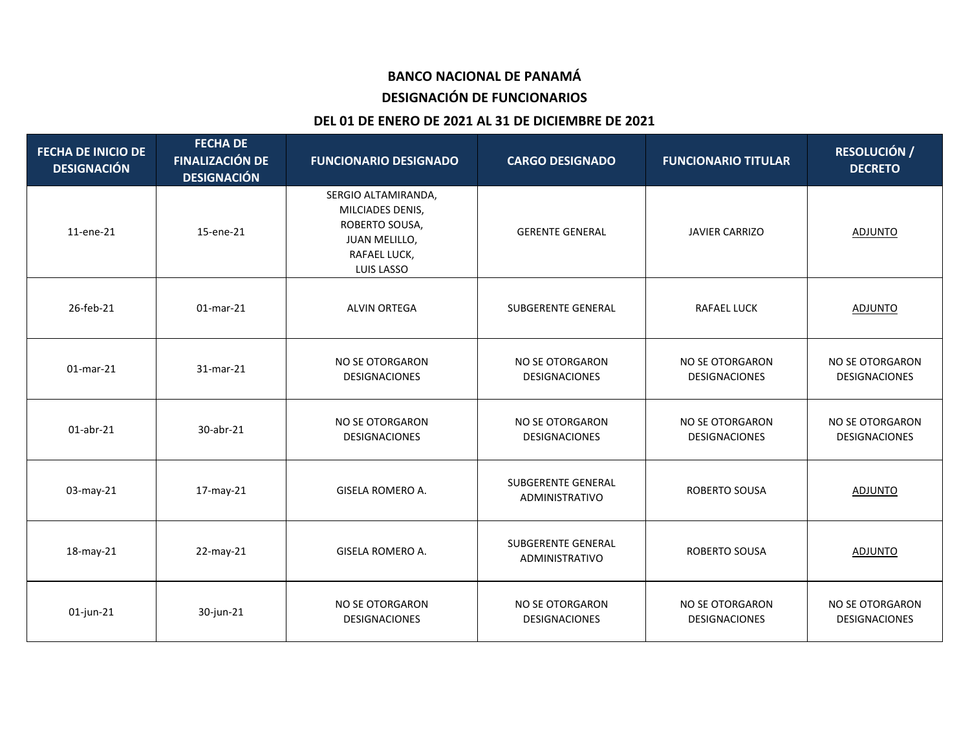# **BANCO NACIONAL DE PANAMÁ**

# **DESIGNACIÓN DE FUNCIONARIOS**

### **DEL 01 DE ENERO DE 2021 AL 31 DE DICIEMBRE DE 2021**

| <b>FECHA DE INICIO DE</b><br><b>DESIGNACIÓN</b> | <b>FECHA DE</b><br><b>FINALIZACIÓN DE</b><br><b>DESIGNACIÓN</b> | <b>FUNCIONARIO DESIGNADO</b>                                                                                    | <b>CARGO DESIGNADO</b>                             | <b>FUNCIONARIO TITULAR</b>                     | <b>RESOLUCIÓN /</b><br><b>DECRETO</b>          |
|-------------------------------------------------|-----------------------------------------------------------------|-----------------------------------------------------------------------------------------------------------------|----------------------------------------------------|------------------------------------------------|------------------------------------------------|
| 11-ene-21                                       | 15-ene-21                                                       | SERGIO ALTAMIRANDA,<br>MILCIADES DENIS,<br>ROBERTO SOUSA,<br>JUAN MELILLO,<br>RAFAEL LUCK,<br><b>LUIS LASSO</b> | <b>GERENTE GENERAL</b>                             | <b>JAVIER CARRIZO</b>                          | <b>ADJUNTO</b>                                 |
| 26-feb-21                                       | $01$ -mar-21                                                    | <b>ALVIN ORTEGA</b>                                                                                             | SUBGERENTE GENERAL                                 | <b>RAFAEL LUCK</b>                             | <b>ADJUNTO</b>                                 |
| $01$ -mar-21                                    | 31-mar-21                                                       | <b>NO SE OTORGARON</b><br><b>DESIGNACIONES</b>                                                                  | <b>NO SE OTORGARON</b><br><b>DESIGNACIONES</b>     | <b>NO SE OTORGARON</b><br><b>DESIGNACIONES</b> | <b>NO SE OTORGARON</b><br>DESIGNACIONES        |
| $01$ -abr-21                                    | 30-abr-21                                                       | NO SE OTORGARON<br><b>DESIGNACIONES</b>                                                                         | <b>NO SE OTORGARON</b><br><b>DESIGNACIONES</b>     | <b>NO SE OTORGARON</b><br><b>DESIGNACIONES</b> | NO SE OTORGARON<br>DESIGNACIONES               |
| 03-may-21                                       | 17-may-21                                                       | GISELA ROMERO A.                                                                                                | <b>SUBGERENTE GENERAL</b><br><b>ADMINISTRATIVO</b> | ROBERTO SOUSA                                  | <b>ADJUNTO</b>                                 |
| 18-may-21                                       | 22-may-21                                                       | <b>GISELA ROMERO A.</b>                                                                                         | <b>SUBGERENTE GENERAL</b><br>ADMINISTRATIVO        | <b>ROBERTO SOUSA</b>                           | <b>ADJUNTO</b>                                 |
| $01$ -jun-21                                    | 30-jun-21                                                       | <b>NO SE OTORGARON</b><br><b>DESIGNACIONES</b>                                                                  | <b>NO SE OTORGARON</b><br><b>DESIGNACIONES</b>     | <b>NO SE OTORGARON</b><br><b>DESIGNACIONES</b> | <b>NO SE OTORGARON</b><br><b>DESIGNACIONES</b> |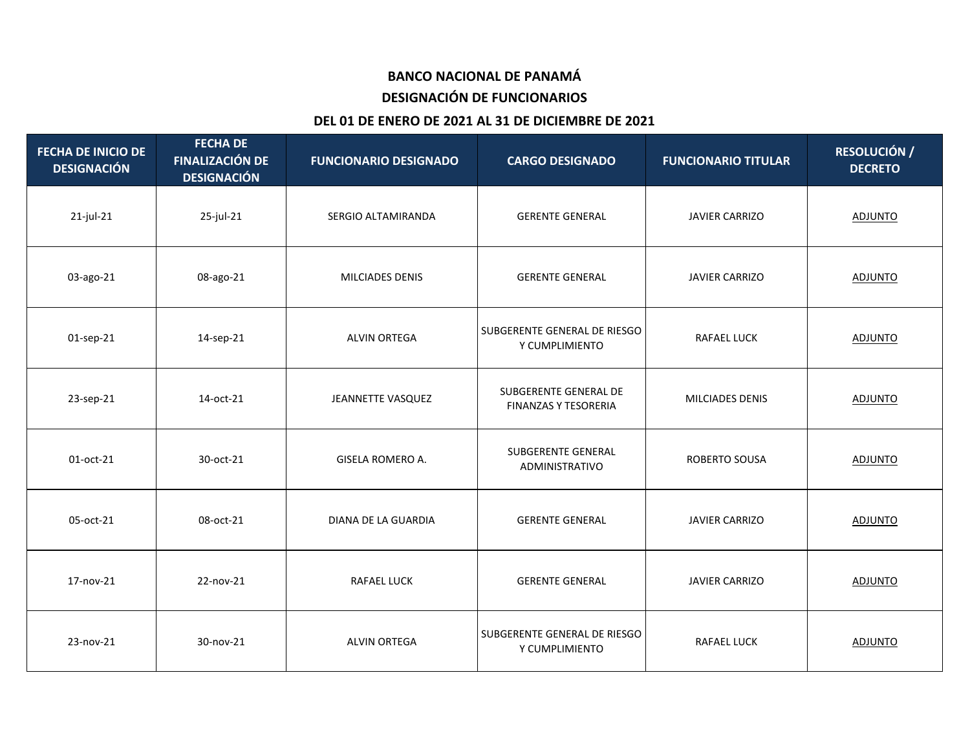# **BANCO NACIONAL DE PANAMÁ**

# **DESIGNACIÓN DE FUNCIONARIOS**

### **DEL 01 DE ENERO DE 2021 AL 31 DE DICIEMBRE DE 2021**

| <b>FECHA DE INICIO DE</b><br><b>DESIGNACIÓN</b> | <b>FECHA DE</b><br><b>FINALIZACIÓN DE</b><br><b>DESIGNACIÓN</b> | <b>FUNCIONARIO DESIGNADO</b> | <b>CARGO DESIGNADO</b>                         | <b>FUNCIONARIO TITULAR</b> | <b>RESOLUCIÓN /</b><br><b>DECRETO</b> |
|-------------------------------------------------|-----------------------------------------------------------------|------------------------------|------------------------------------------------|----------------------------|---------------------------------------|
| 21-jul-21                                       | 25-jul-21                                                       | SERGIO ALTAMIRANDA           | <b>GERENTE GENERAL</b>                         | <b>JAVIER CARRIZO</b>      | <b>ADJUNTO</b>                        |
| 03-ago-21                                       | 08-ago-21                                                       | <b>MILCIADES DENIS</b>       | <b>GERENTE GENERAL</b>                         | <b>JAVIER CARRIZO</b>      | <b>ADJUNTO</b>                        |
| 01-sep-21                                       | 14-sep-21                                                       | <b>ALVIN ORTEGA</b>          | SUBGERENTE GENERAL DE RIESGO<br>Y CUMPLIMIENTO | <b>RAFAEL LUCK</b>         | <b>ADJUNTO</b>                        |
| 23-sep-21                                       | 14-oct-21                                                       | JEANNETTE VASQUEZ            | SUBGERENTE GENERAL DE<br>FINANZAS Y TESORERIA  | MILCIADES DENIS            | <b>ADJUNTO</b>                        |
| 01-oct-21                                       | 30-oct-21                                                       | GISELA ROMERO A.             | SUBGERENTE GENERAL<br>ADMINISTRATIVO           | ROBERTO SOUSA              | <b>ADJUNTO</b>                        |
| 05-oct-21                                       | 08-oct-21                                                       | DIANA DE LA GUARDIA          | <b>GERENTE GENERAL</b>                         | <b>JAVIER CARRIZO</b>      | <b>ADJUNTO</b>                        |
| 17-nov-21                                       | 22-nov-21                                                       | <b>RAFAEL LUCK</b>           | <b>GERENTE GENERAL</b>                         | <b>JAVIER CARRIZO</b>      | <b>ADJUNTO</b>                        |
| 23-nov-21                                       | 30-nov-21                                                       | <b>ALVIN ORTEGA</b>          | SUBGERENTE GENERAL DE RIESGO<br>Y CUMPLIMIENTO | <b>RAFAEL LUCK</b>         | <b>ADJUNTO</b>                        |